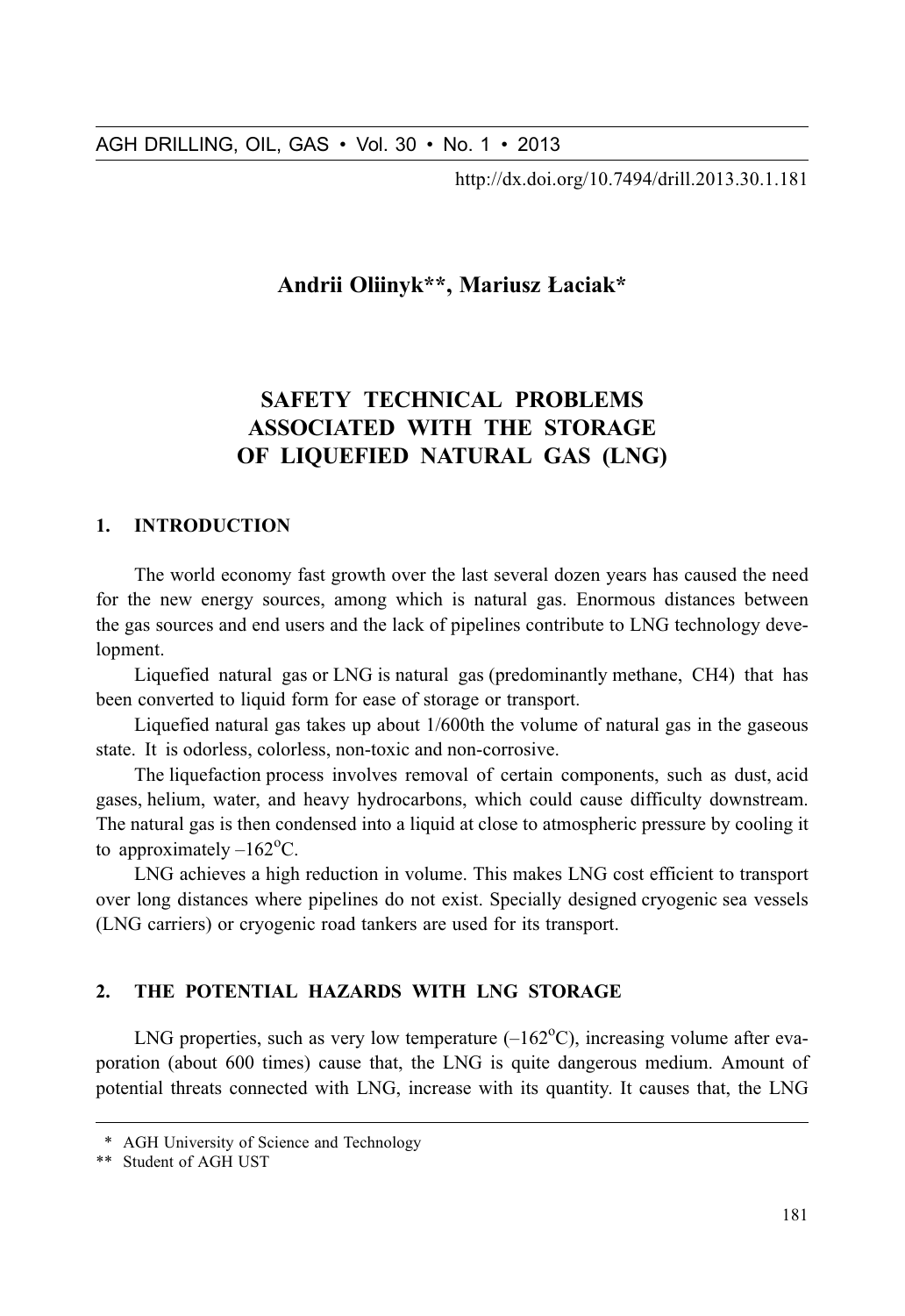http://dx.doi.org/10.7494/drill.2013.30.1.181

# Andrii Oliinyk\*\*, Mariusz Łaciak\*

# **SAFETY TECHNICAL PROBLEMS ASSOCIATED WITH THE STORAGE** OF LIQUEFIED NATURAL GAS (LNG)

# 1. INTRODUCTION

The world economy fast growth over the last several dozen years has caused the need for the new energy sources, among which is natural gas. Enormous distances between the gas sources and end users and the lack of pipelines contribute to LNG technology development.

Liquefied natural gas or LNG is natural gas (predominantly methane, CH4) that has been converted to liquid form for ease of storage or transport.

Liquefied natural gas takes up about 1/600th the volume of natural gas in the gaseous state. It is odorless, colorless, non-toxic and non-corrosive.

The liquefaction process involves removal of certain components, such as dust, acid gases, helium, water, and heavy hydrocarbons, which could cause difficulty downstream. The natural gas is then condensed into a liquid at close to atmospheric pressure by cooling it to approximately  $-162^{\circ}$ C.

LNG achieves a high reduction in volume. This makes LNG cost efficient to transport over long distances where pipelines do not exist. Specially designed cryogenic sea vessels (LNG carriers) or cryogenic road tankers are used for its transport.

### $2.$ THE POTENTIAL HAZARDS WITH LNG STORAGE

LNG properties, such as very low temperature  $(-162^{\circ}C)$ , increasing volume after evaporation (about 600 times) cause that, the LNG is quite dangerous medium. Amount of potential threats connected with LNG, increase with its quantity. It causes that, the LNG

<sup>\*</sup> AGH University of Science and Technology

<sup>\*\*</sup> Student of AGH UST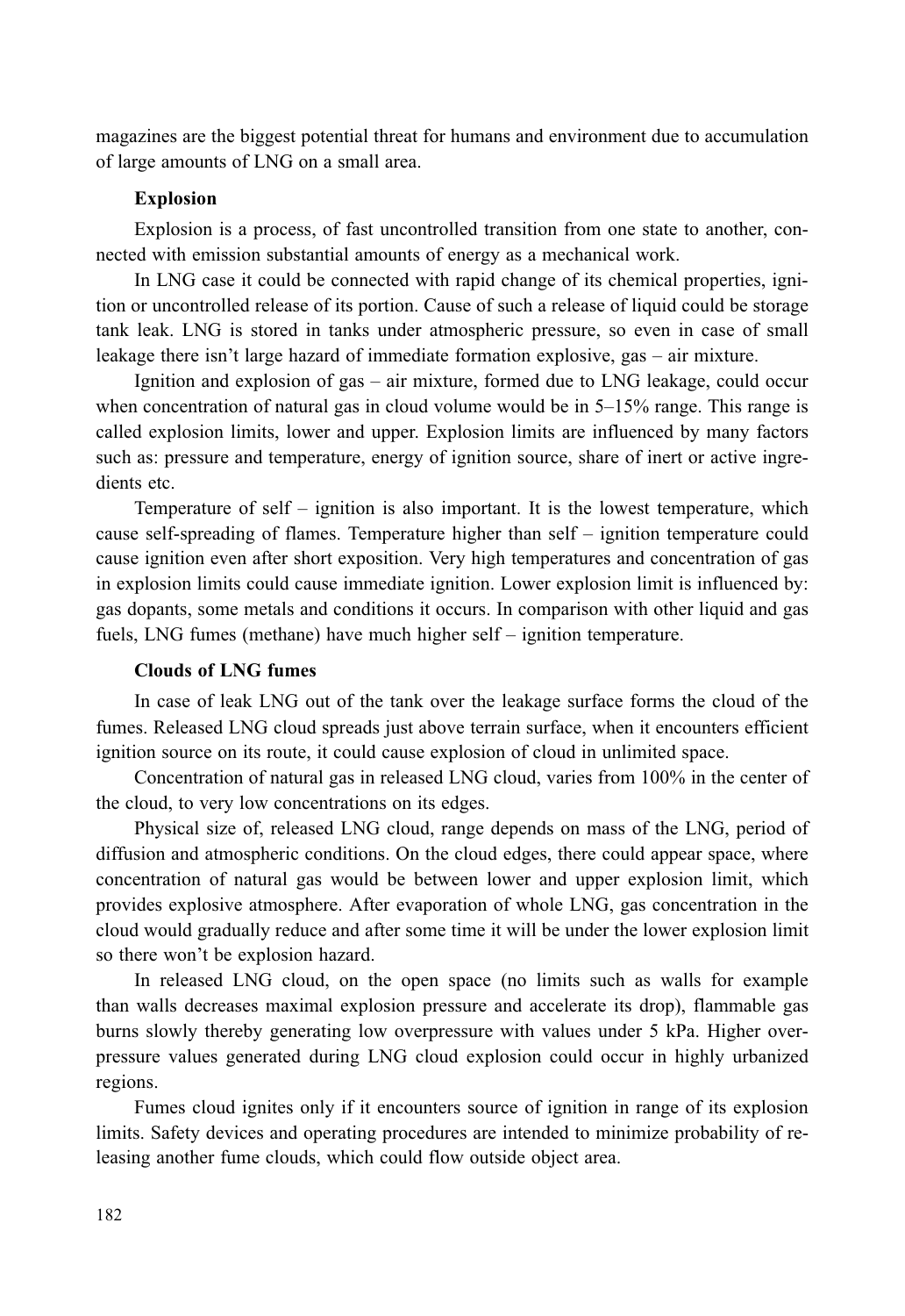magazines are the biggest potential threat for humans and environment due to accumulation of large amounts of LNG on a small area.

# **Explosion**

Explosion is a process, of fast uncontrolled transition from one state to another, connected with emission substantial amounts of energy as a mechanical work.

In LNG case it could be connected with rapid change of its chemical properties, ignition or uncontrolled release of its portion. Cause of such a release of liquid could be storage tank leak. LNG is stored in tanks under atmospheric pressure, so even in case of small leakage there isn't large hazard of immediate formation explosive,  $gas - air$  mixture.

Ignition and explosion of gas – air mixture, formed due to LNG leakage, could occur when concentration of natural gas in cloud volume would be in  $5-15\%$  range. This range is called explosion limits, lower and upper. Explosion limits are influenced by many factors such as: pressure and temperature, energy of ignition source, share of inert or active ingredients etc.

Temperature of self – ignition is also important. It is the lowest temperature, which cause self-spreading of flames. Temperature higher than self – ignition temperature could cause ignition even after short exposition. Very high temperatures and concentration of gas in explosion limits could cause immediate ignition. Lower explosion limit is influenced by: gas dopants, some metals and conditions it occurs. In comparison with other liquid and gas fuels, LNG fumes (methane) have much higher self – ignition temperature.

## **Clouds of LNG fumes**

In case of leak LNG out of the tank over the leakage surface forms the cloud of the fumes. Released LNG cloud spreads just above terrain surface, when it encounters efficient ignition source on its route, it could cause explosion of cloud in unlimited space.

Concentration of natural gas in released LNG cloud, varies from 100% in the center of the cloud, to very low concentrations on its edges.

Physical size of, released LNG cloud, range depends on mass of the LNG, period of diffusion and atmospheric conditions. On the cloud edges, there could appear space, where concentration of natural gas would be between lower and upper explosion limit, which provides explosive atmosphere. After evaporation of whole LNG, gas concentration in the cloud would gradually reduce and after some time it will be under the lower explosion limit so there won't be explosion hazard.

In released LNG cloud, on the open space (no limits such as walls for example than walls decreases maximal explosion pressure and accelerate its drop), flammable gas burns slowly thereby generating low overpressure with values under 5 kPa. Higher overpressure values generated during LNG cloud explosion could occur in highly urbanized regions.

Fumes cloud ignites only if it encounters source of ignition in range of its explosion limits. Safety devices and operating procedures are intended to minimize probability of releasing another fume clouds, which could flow outside object area.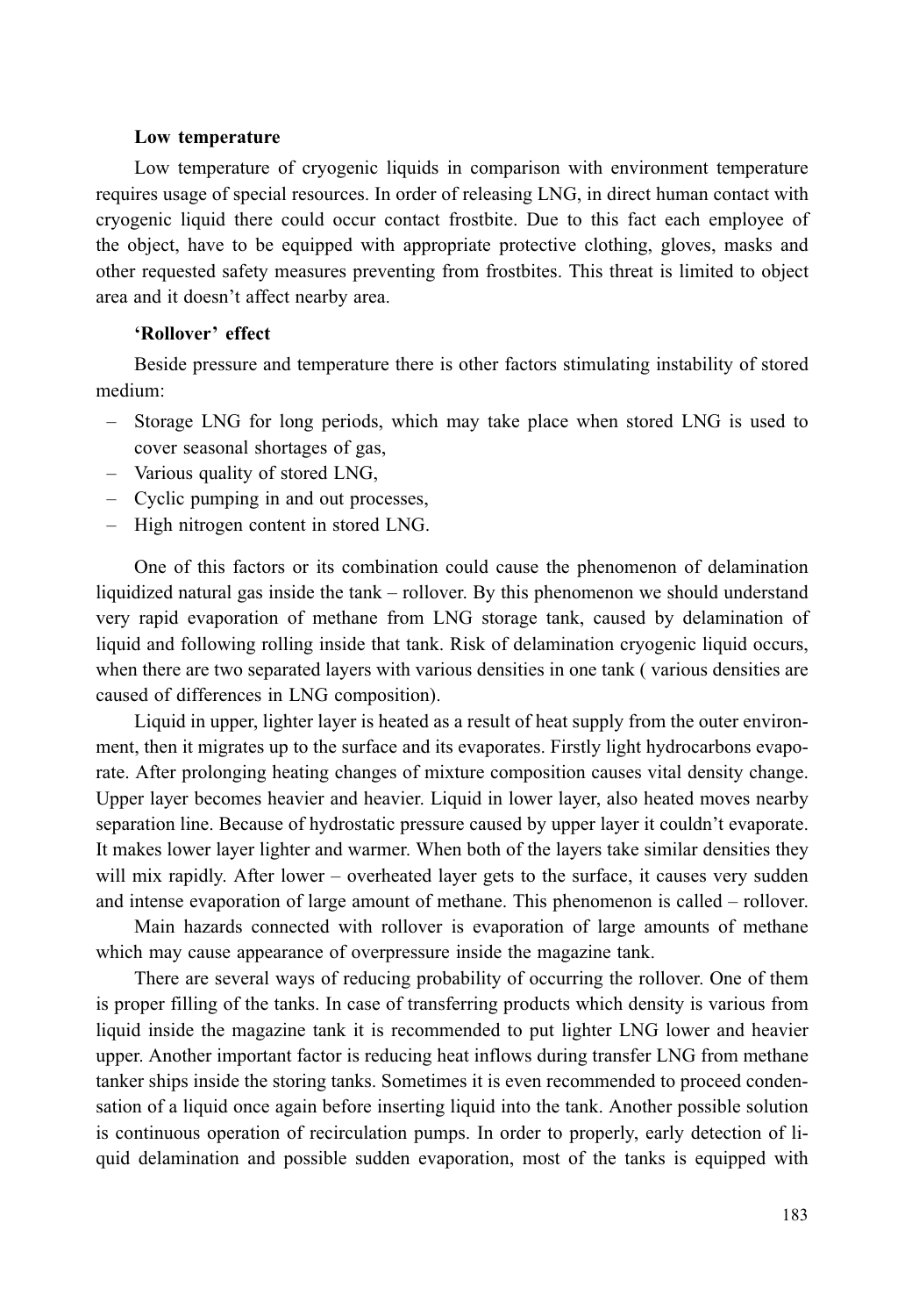### Low temperature

Low temperature of cryogenic liquids in comparison with environment temperature requires usage of special resources. In order of releasing LNG, in direct human contact with cryogenic liquid there could occur contact frostbite. Due to this fact each employee of the object, have to be equipped with appropriate protective clothing, gloves, masks and other requested safety measures preventing from frostbites. This threat is limited to object area and it doesn't affect nearby area.

# 'Rollover' effect

Beside pressure and temperature there is other factors stimulating instability of stored medium:

- Storage LNG for long periods, which may take place when stored LNG is used to cover seasonal shortages of gas,
- Various quality of stored LNG,
- Cyclic pumping in and out processes.
- High nitrogen content in stored LNG.

One of this factors or its combination could cause the phenomenon of delamination liquidized natural gas inside the tank – rollover. By this phenomenon we should understand very rapid evaporation of methane from LNG storage tank, caused by delamination of liquid and following rolling inside that tank. Risk of delamination cryogenic liquid occurs, when there are two separated layers with various densities in one tank (various densities are caused of differences in LNG composition).

Liquid in upper, lighter layer is heated as a result of heat supply from the outer environment, then it migrates up to the surface and its evaporates. Firstly light hydrocarbons evaporate. After prolonging heating changes of mixture composition causes vital density change. Upper layer becomes heavier and heavier. Liquid in lower layer, also heated moves nearby separation line. Because of hydrostatic pressure caused by upper layer it couldn't evaporate. It makes lower layer lighter and warmer. When both of the layers take similar densities they will mix rapidly. After lower – overheated layer gets to the surface, it causes very sudden and intense evaporation of large amount of methane. This phenomenon is called – rollover.

Main hazards connected with rollover is evaporation of large amounts of methane which may cause appearance of overpressure inside the magazine tank.

There are several ways of reducing probability of occurring the rollover. One of them is proper filling of the tanks. In case of transferring products which density is various from liquid inside the magazine tank it is recommended to put lighter LNG lower and heavier upper. Another important factor is reducing heat inflows during transfer LNG from methane tanker ships inside the storing tanks. Sometimes it is even recommended to proceed condensation of a liquid once again before inserting liquid into the tank. Another possible solution is continuous operation of recirculation pumps. In order to properly, early detection of liquid delamination and possible sudden evaporation, most of the tanks is equipped with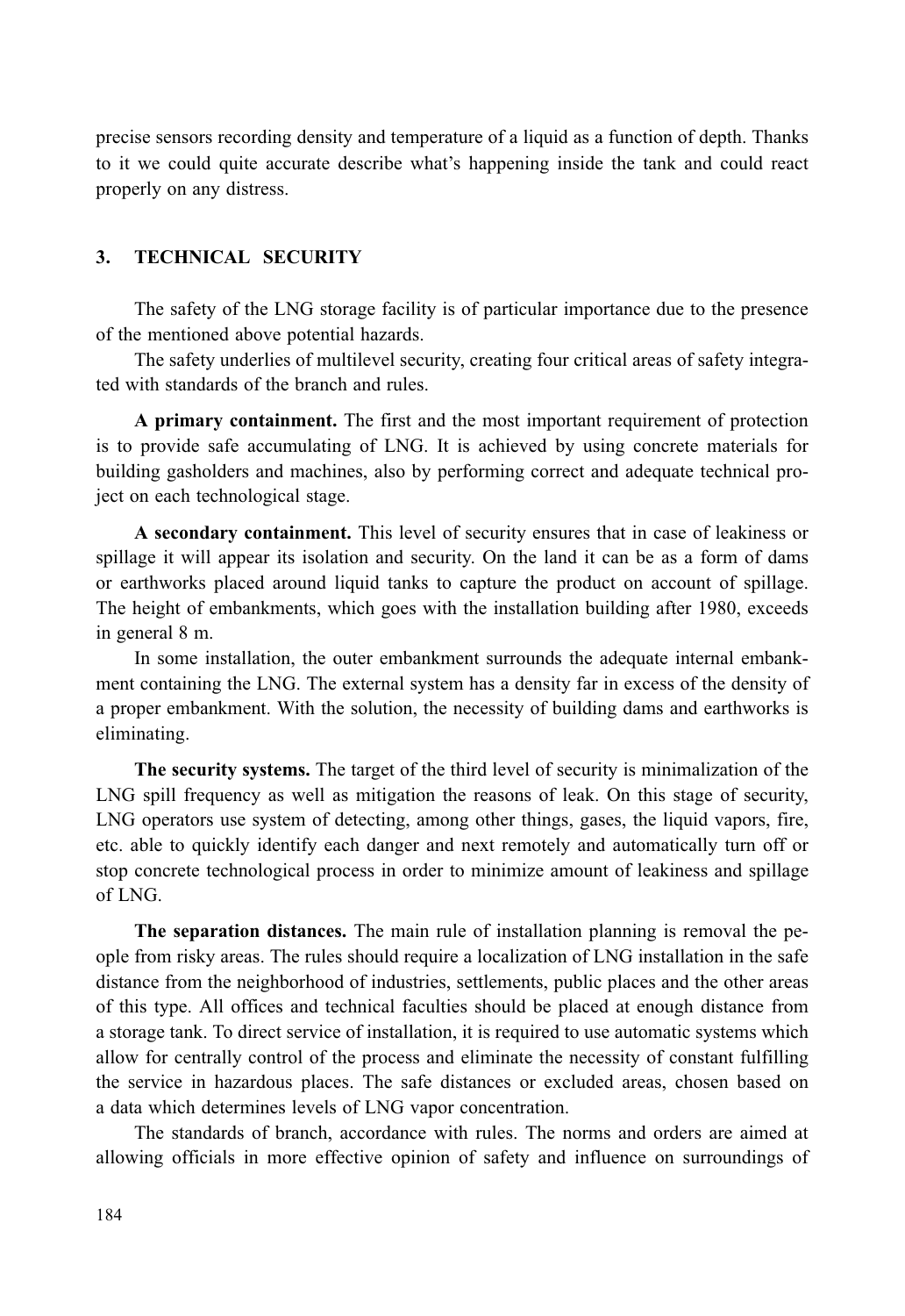precise sensors recording density and temperature of a liquid as a function of depth. Thanks to it we could quite accurate describe what's happening inside the tank and could react properly on any distress.

### **TECHNICAL SECURITY**  $\mathbf{3}$

The safety of the LNG storage facility is of particular importance due to the presence of the mentioned above potential hazards.

The safety underlies of multilevel security, creating four critical areas of safety integrated with standards of the branch and rules.

A primary containment. The first and the most important requirement of protection is to provide safe accumulating of LNG. It is achieved by using concrete materials for building gasholders and machines, also by performing correct and adequate technical project on each technological stage.

A secondary containment. This level of security ensures that in case of leakiness or spillage it will appear its isolation and security. On the land it can be as a form of dams or earthworks placed around liquid tanks to capture the product on account of spillage. The height of embankments, which goes with the installation building after 1980, exceeds in general 8 m.

In some installation, the outer embankment surrounds the adequate internal embankment containing the LNG. The external system has a density far in excess of the density of a proper embankment. With the solution, the necessity of building dams and earthworks is eliminating.

The security systems. The target of the third level of security is minimalization of the LNG spill frequency as well as mitigation the reasons of leak. On this stage of security, LNG operators use system of detecting, among other things, gases, the liquid vapors, fire, etc. able to quickly identify each danger and next remotely and automatically turn off or stop concrete technological process in order to minimize amount of leakiness and spillage  $of LNG$ 

The separation distances. The main rule of installation planning is removal the people from risky areas. The rules should require a localization of LNG installation in the safe distance from the neighborhood of industries, settlements, public places and the other areas of this type. All offices and technical faculties should be placed at enough distance from a storage tank. To direct service of installation, it is required to use automatic systems which allow for centrally control of the process and eliminate the necessity of constant fulfilling the service in hazardous places. The safe distances or excluded areas, chosen based on a data which determines levels of LNG vapor concentration.

The standards of branch, accordance with rules. The norms and orders are aimed at allowing officials in more effective opinion of safety and influence on surroundings of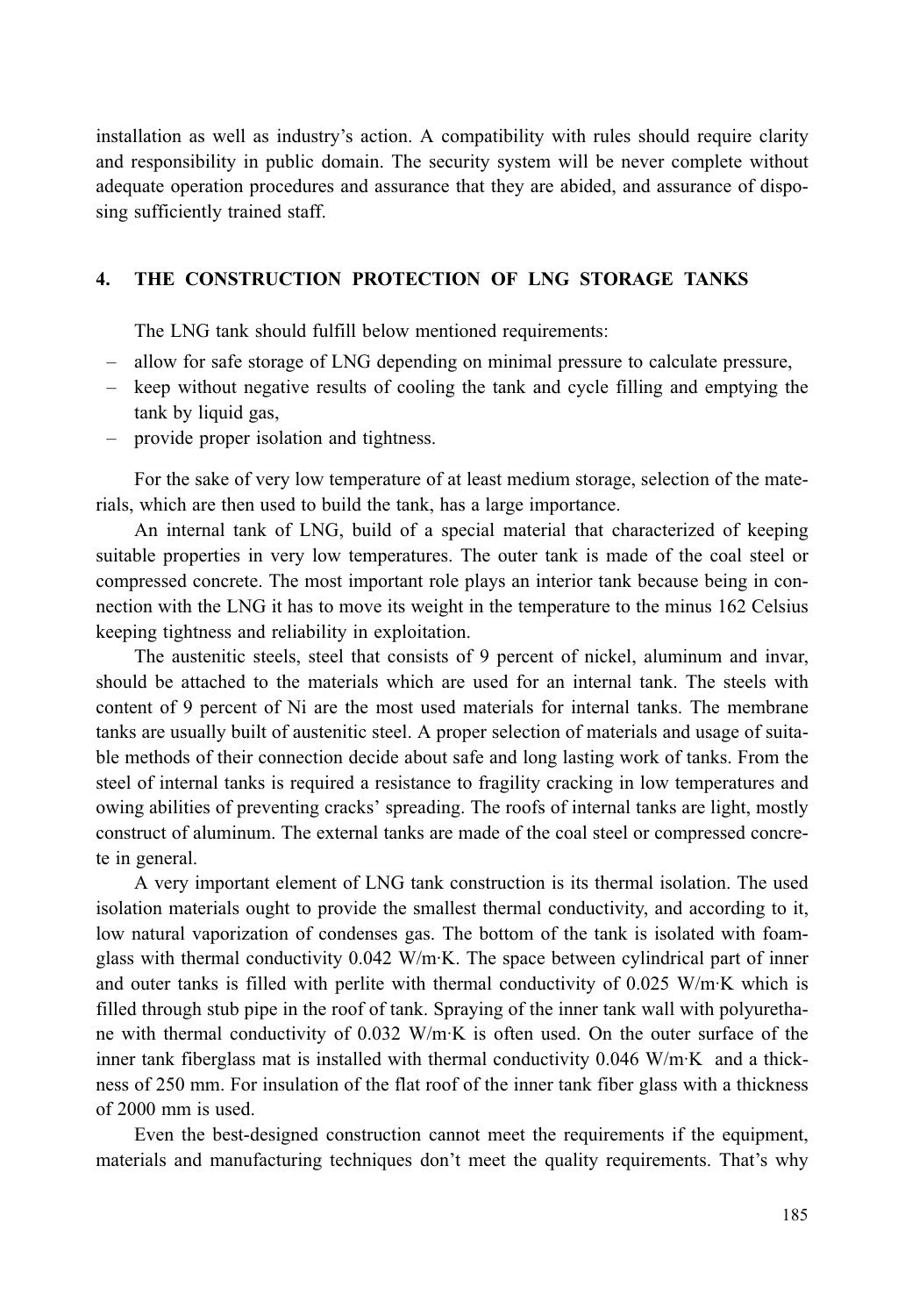installation as well as industry's action. A compatibility with rules should require clarity and responsibility in public domain. The security system will be never complete without adequate operation procedures and assurance that they are abided, and assurance of disposing sufficiently trained staff.

### THE CONSTRUCTION PROTECTION OF LNG STORAGE TANKS  $\overline{4}$ .

The LNG tank should fulfill below mentioned requirements:

- allow for safe storage of LNG depending on minimal pressure to calculate pressure,
- keep without negative results of cooling the tank and cycle filling and emptying the tank by liquid gas,
- provide proper isolation and tightness.

For the sake of very low temperature of at least medium storage, selection of the materials, which are then used to build the tank, has a large importance.

An internal tank of LNG, build of a special material that characterized of keeping suitable properties in very low temperatures. The outer tank is made of the coal steel or compressed concrete. The most important role plays an interior tank because being in connection with the LNG it has to move its weight in the temperature to the minus 162 Celsius keeping tightness and reliability in exploitation.

The austenitic steels, steel that consists of 9 percent of nickel, aluminum and invar, should be attached to the materials which are used for an internal tank. The steels with content of 9 percent of Ni are the most used materials for internal tanks. The membrane tanks are usually built of austenitic steel. A proper selection of materials and usage of suitable methods of their connection decide about safe and long lasting work of tanks. From the steel of internal tanks is required a resistance to fragility cracking in low temperatures and owing abilities of preventing cracks' spreading. The roofs of internal tanks are light, mostly construct of aluminum. The external tanks are made of the coal steel or compressed concrete in general.

A very important element of LNG tank construction is its thermal isolation. The used isolation materials ought to provide the smallest thermal conductivity, and according to it, low natural vaporization of condenses gas. The bottom of the tank is isolated with foamglass with thermal conductivity 0.042 W/m·K. The space between cylindrical part of inner and outer tanks is filled with perlite with thermal conductivity of 0.025 W/m·K which is filled through stub pipe in the roof of tank. Spraying of the inner tank wall with polyurethane with thermal conductivity of 0.032 W/m·K is often used. On the outer surface of the inner tank fiberglass mat is installed with thermal conductivity  $0.046$  W/m·K and a thickness of 250 mm. For insulation of the flat roof of the inner tank fiber glass with a thickness of 2000 mm is used.

Even the best-designed construction cannot meet the requirements if the equipment, materials and manufacturing techniques don't meet the quality requirements. That's why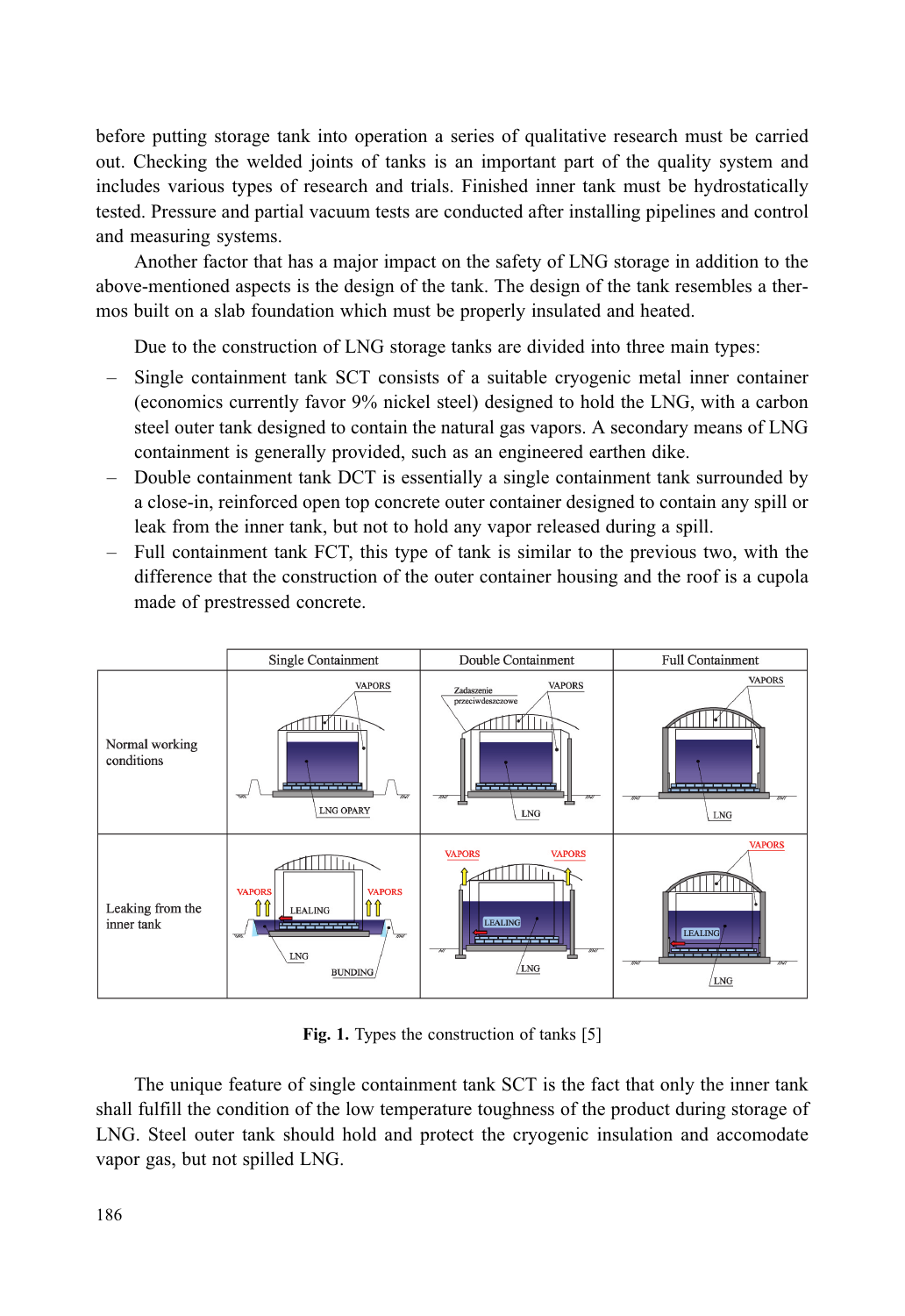before putting storage tank into operation a series of qualitative research must be carried out. Checking the welded joints of tanks is an important part of the quality system and includes various types of research and trials. Finished inner tank must be hydrostatically tested. Pressure and partial vacuum tests are conducted after installing pipelines and control and measuring systems.

Another factor that has a major impact on the safety of LNG storage in addition to the above-mentioned aspects is the design of the tank. The design of the tank resembles a thermos built on a slab foundation which must be properly insulated and heated.

Due to the construction of LNG storage tanks are divided into three main types:

- Single containment tank SCT consists of a suitable cryogenic metal inner container (economics currently favor 9% nickel steel) designed to hold the LNG, with a carbon steel outer tank designed to contain the natural gas vapors. A secondary means of LNG containment is generally provided, such as an engineered earthen dike.
- Double containment tank DCT is essentially a single containment tank surrounded by a close-in, reinforced open top concrete outer container designed to contain any spill or leak from the inner tank, but not to hold any vapor released during a spill.
- $-$  Full containment tank FCT, this type of tank is similar to the previous two, with the difference that the construction of the outer container housing and the roof is a cupola made of prestressed concrete.



Fig. 1. Types the construction of tanks [5]

The unique feature of single containment tank SCT is the fact that only the inner tank shall fulfill the condition of the low temperature toughness of the product during storage of LNG. Steel outer tank should hold and protect the cryogenic insulation and accomodate vapor gas, but not spilled LNG.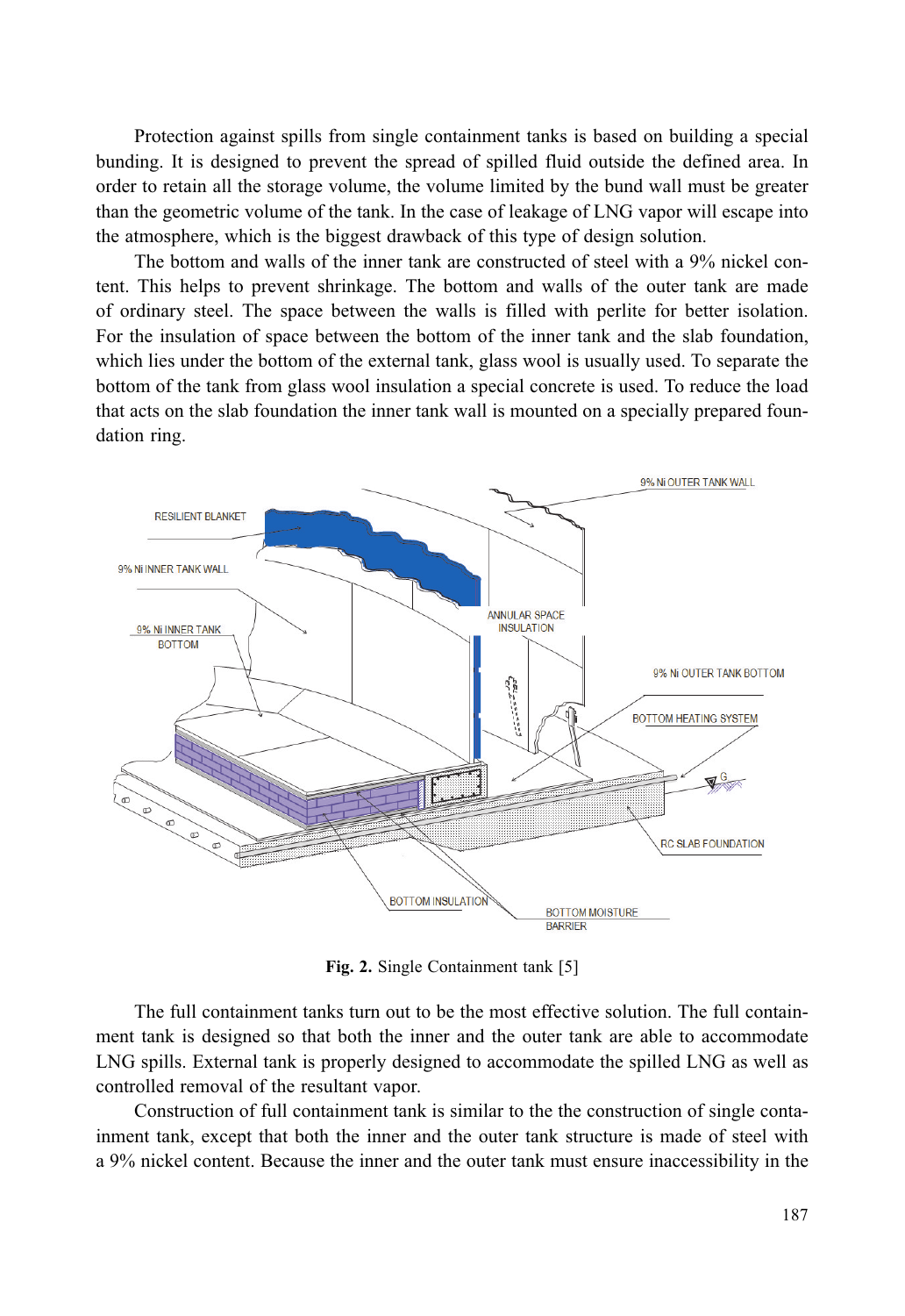Protection against spills from single containment tanks is based on building a special bunding. It is designed to prevent the spread of spilled fluid outside the defined area. In order to retain all the storage volume, the volume limited by the bund wall must be greater than the geometric volume of the tank. In the case of leakage of LNG vapor will escape into the atmosphere, which is the biggest drawback of this type of design solution.

The bottom and walls of the inner tank are constructed of steel with a 9% nickel content. This helps to prevent shrinkage. The bottom and walls of the outer tank are made of ordinary steel. The space between the walls is filled with perlite for better isolation. For the insulation of space between the bottom of the inner tank and the slab foundation, which lies under the bottom of the external tank, glass wool is usually used. To separate the bottom of the tank from glass wool insulation a special concrete is used. To reduce the load that acts on the slab foundation the inner tank wall is mounted on a specially prepared foundation ring.



Fig. 2. Single Containment tank [5]

The full containment tanks turn out to be the most effective solution. The full containment tank is designed so that both the inner and the outer tank are able to accommodate LNG spills. External tank is properly designed to accommodate the spilled LNG as well as controlled removal of the resultant vapor.

Construction of full containment tank is similar to the the construction of single containment tank, except that both the inner and the outer tank structure is made of steel with a 9% nickel content. Because the inner and the outer tank must ensure inaccessibility in the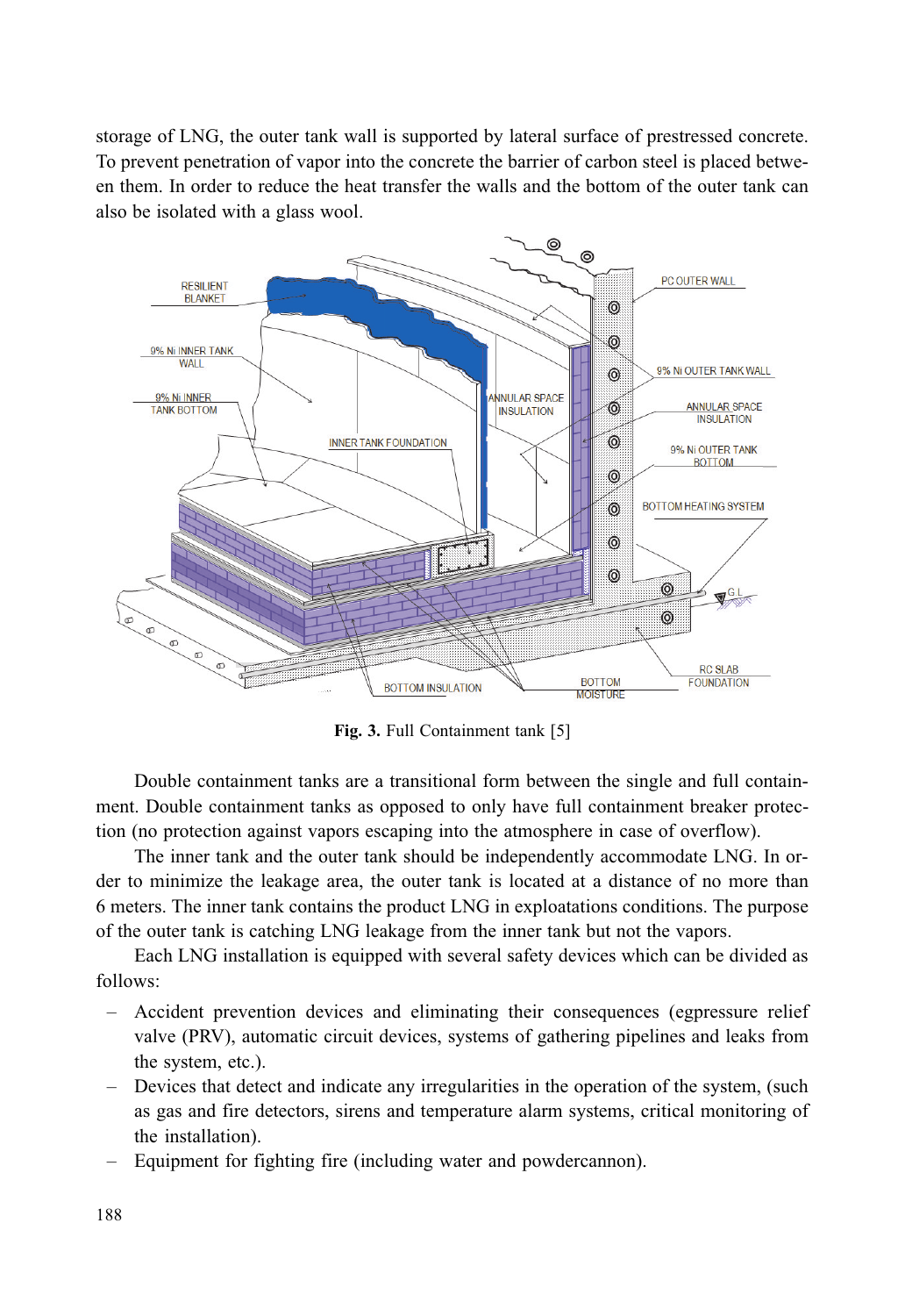storage of LNG, the outer tank wall is supported by lateral surface of prestressed concrete. To prevent penetration of vapor into the concrete the barrier of carbon steel is placed between them. In order to reduce the heat transfer the walls and the bottom of the outer tank can also be isolated with a glass wool.



Fig. 3. Full Containment tank [5]

Double containment tanks are a transitional form between the single and full containment. Double containment tanks as opposed to only have full containment breaker protection (no protection against vapors escaping into the atmosphere in case of overflow).

The inner tank and the outer tank should be independently accommodate LNG. In order to minimize the leakage area, the outer tank is located at a distance of no more than 6 meters. The inner tank contains the product LNG in exploatations conditions. The purpose of the outer tank is catching LNG leakage from the inner tank but not the vapors.

Each LNG installation is equipped with several safety devices which can be divided as follows:

- Accident prevention devices and eliminating their consequences (egpressure relief) valve (PRV), automatic circuit devices, systems of gathering pipelines and leaks from the system, etc.).
- Devices that detect and indicate any irregularities in the operation of the system, (such as gas and fire detectors, sirens and temperature alarm systems, critical monitoring of the installation).
- Equipment for fighting fire (including water and powdercannon).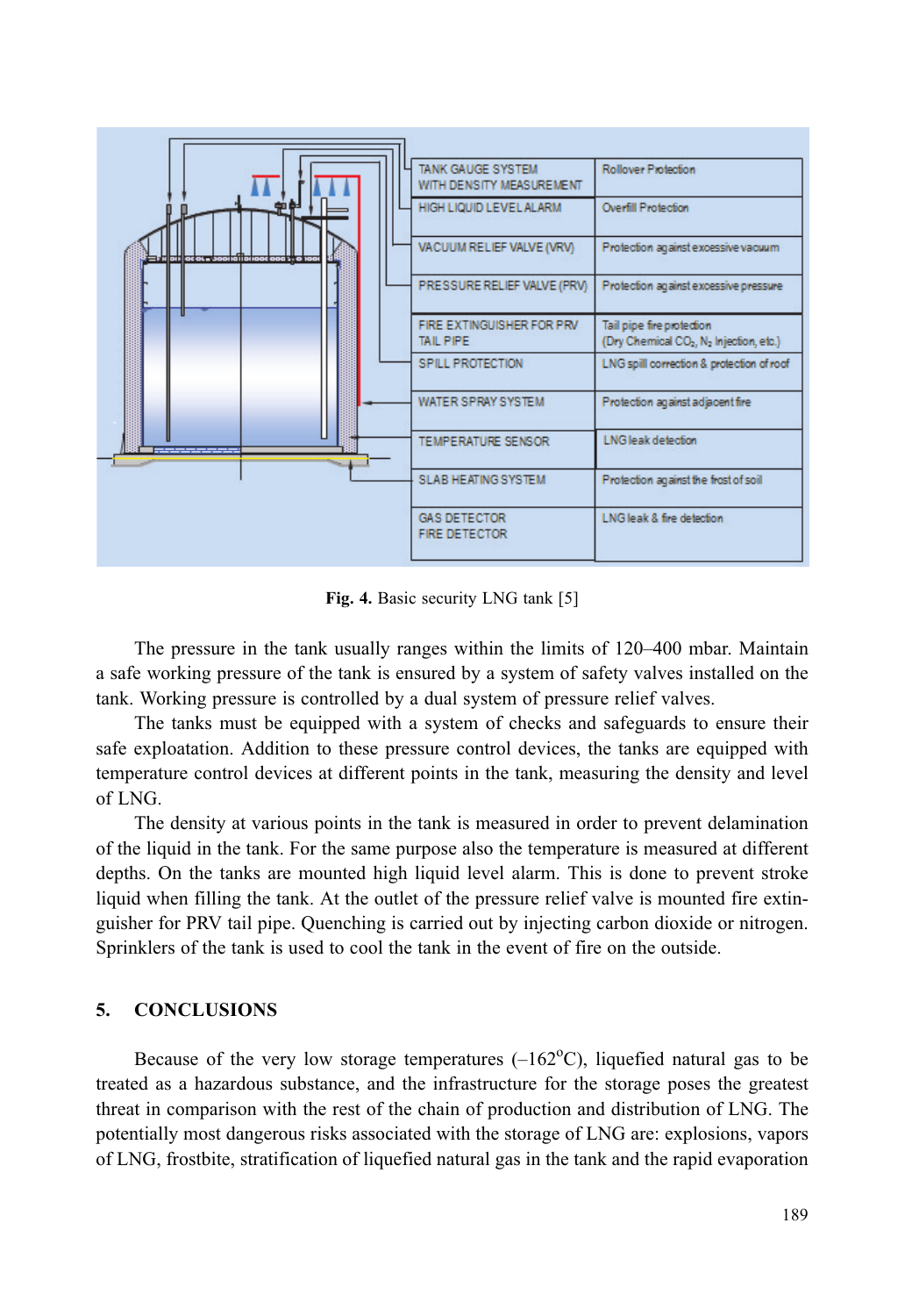

Fig. 4. Basic security LNG tank [5]

The pressure in the tank usually ranges within the limits of 120–400 mbar. Maintain a safe working pressure of the tank is ensured by a system of safety valves installed on the tank. Working pressure is controlled by a dual system of pressure relief valves.

The tanks must be equipped with a system of checks and safeguards to ensure their safe exploatation. Addition to these pressure control devices, the tanks are equipped with temperature control devices at different points in the tank, measuring the density and level of LNG.

The density at various points in the tank is measured in order to prevent delamination of the liquid in the tank. For the same purpose also the temperature is measured at different depths. On the tanks are mounted high liquid level alarm. This is done to prevent stroke liquid when filling the tank. At the outlet of the pressure relief valve is mounted fire extinguisher for PRV tail pipe. Quenching is carried out by injecting carbon dioxide or nitrogen. Sprinklers of the tank is used to cool the tank in the event of fire on the outside.

#### 5. **CONCLUSIONS**

Because of the very low storage temperatures  $(-162^{\circ}C)$ , liquefied natural gas to be treated as a hazardous substance, and the infrastructure for the storage poses the greatest threat in comparison with the rest of the chain of production and distribution of LNG. The potentially most dangerous risks associated with the storage of LNG are: explosions, vapors of LNG, frostbite, stratification of liquefied natural gas in the tank and the rapid evaporation